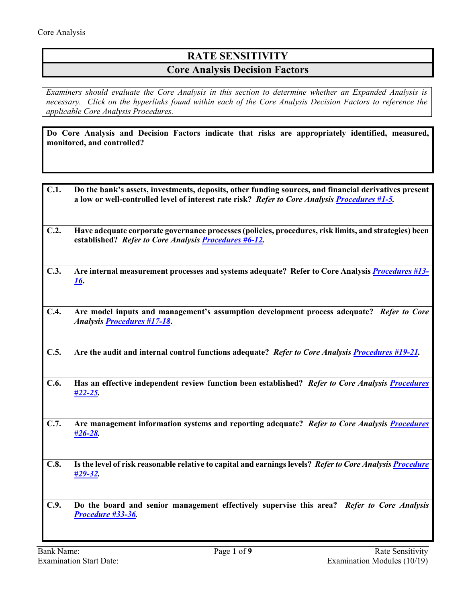## **RATE SENSITIVITY Core Analysis Decision Factors**

*Examiners should evaluate the Core Analysis in this section to determine whether an Expanded Analysis is necessary. Click on the hyperlinks found within each of the Core Analysis Decision Factors to reference the applicable Core Analysis Procedures.*

**Do Core Analysis and Decision Factors indicate that risks are appropriately identified, measured, monitored, and controlled?**

| C.1.                                                 | Do the bank's assets, investments, deposits, other funding sources, and financial derivatives present<br>a low or well-controlled level of interest rate risk? Refer to Core Analysis Procedures #1-5. |
|------------------------------------------------------|--------------------------------------------------------------------------------------------------------------------------------------------------------------------------------------------------------|
| C.2.                                                 | Have adequate corporate governance processes (policies, procedures, risk limits, and strategies) been<br>established? Refer to Core Analysis <b>Procedures #6-12.</b>                                  |
| C.3.                                                 | Are internal measurement processes and systems adequate? Refer to Core Analysis <i>Procedures</i> #13-<br><u>16.</u>                                                                                   |
| C.4.                                                 | Are model inputs and management's assumption development process adequate? Refer to Core<br><b>Analysis Procedures #17-18.</b>                                                                         |
| C.5.                                                 | Are the audit and internal control functions adequate? Refer to Core Analysis <b>Procedures</b> #19-21.                                                                                                |
| C.6.                                                 | Has an effective independent review function been established? Refer to Core Analysis Procedures<br>$#22 - 25.$                                                                                        |
| C.7.                                                 | Are management information systems and reporting adequate? Refer to Core Analysis Procedures<br>$\frac{426-28}{2}$                                                                                     |
| C.8.                                                 | Is the level of risk reasonable relative to capital and earnings levels? Refer to Core Analysis Procedure<br><u>#29-32.</u>                                                                            |
| C.9.                                                 | Do the board and senior management effectively supervise this area? Refer to Core Analysis<br>Procedure #33-36.                                                                                        |
| <b>Bank Name:</b><br>Page 1 of 9<br>Rate Sensitivity |                                                                                                                                                                                                        |
|                                                      | Examination Modules (10/19)<br><b>Examination Start Date:</b>                                                                                                                                          |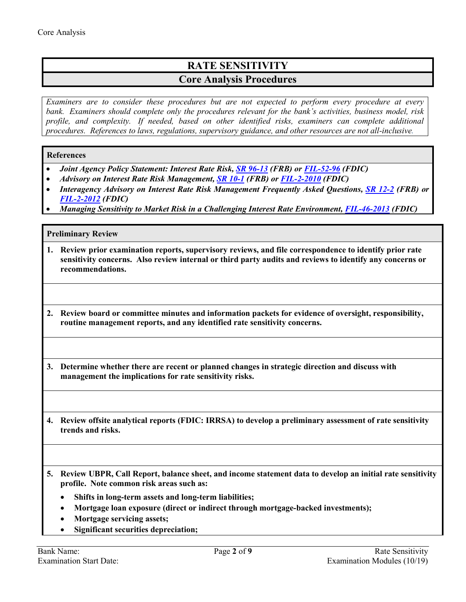# **RATE SENSITIVITY Core Analysis Procedures**

*Examiners are to consider these procedures but are not expected to perform every procedure at every bank. Examiners should complete only the procedures relevant for the bank's activities, business model, risk profile, and complexity. If needed, based on other identified risks, examiners can complete additional procedures. References to laws, regulations, supervisory guidance, and other resources are not all-inclusive.*

### **References**

- *Joint Agency Policy Statement: Interest Rate Risk, [SR 96-13](https://www.federalreserve.gov/boarddocs/srletters/1996/sr9613.htm) (FRB) or [FIL-52-96](https://www.fdic.gov/news/news/financial/1996/fil9652.html) (FDIC)*
- *Advisory on Interest Rate Risk Management, [SR 10-1](https://www.federalreserve.gov/boarddocs/srletters/2010/sr1001.htm) (FRB) or [FIL-2-2010](https://www.fdic.gov/news/news/financial/2010/fil10002.html) (FDIC)*
- *Interagency Advisory on Interest Rate Risk Management Frequently Asked Questions, [SR 12-2](https://www.federalreserve.gov/supervisionreg/srletters/sr1202.htm) (FRB) or [FIL-2-2012](https://www.fdic.gov/news/news/financial/2012/fil12002.html) (FDIC)*
- *Managing Sensitivity to Market Risk in a Challenging Interest Rate Environment, [FIL-46-2013](https://www.fdic.gov/news/news/financial/2013/fil13046.html) (FDIC)*

### **Preliminary Review**

- <span id="page-1-0"></span>**1. Review prior examination reports, supervisory reviews, and file correspondence to identify prior rate sensitivity concerns. Also review internal or third party audits and reviews to identify any concerns or recommendations.**
- **2. Review board or committee minutes and information packets for evidence of oversight, responsibility, routine management reports, and any identified rate sensitivity concerns.**
- **3. Determine whether there are recent or planned changes in strategic direction and discuss with management the implications for rate sensitivity risks.**
- **4. Review offsite analytical reports (FDIC: IRRSA) to develop a preliminary assessment of rate sensitivity trends and risks.**
- **5. Review UBPR, Call Report, balance sheet, and income statement data to develop an initial rate sensitivity profile. Note common risk areas such as:**
	- **Shifts in long-term assets and long-term liabilities;**
	- **Mortgage loan exposure (direct or indirect through mortgage-backed investments);**
	- **Mortgage servicing assets;**
	- **Significant securities depreciation;**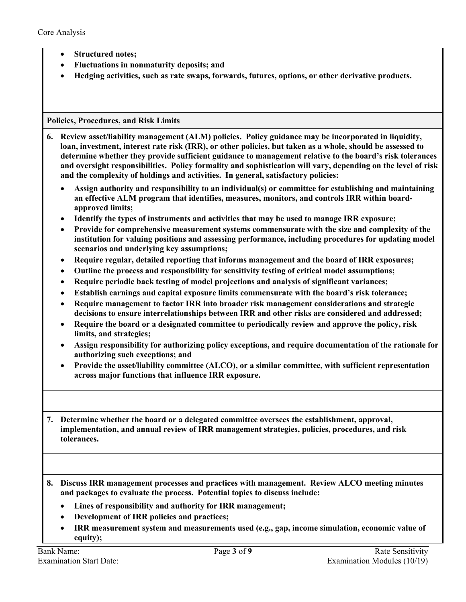- **Structured notes;**
- **Fluctuations in nonmaturity deposits; and**
- **Hedging activities, such as rate swaps, forwards, futures, options, or other derivative products.**

#### **Policies, Procedures, and Risk Limits**

<span id="page-2-0"></span>**6. Review asset/liability management (ALM) policies. Policy guidance may be incorporated in liquidity, loan, investment, interest rate risk (IRR), or other policies, but taken as a whole, should be assessed to determine whether they provide sufficient guidance to management relative to the board's risk tolerances and oversight responsibilities. Policy formality and sophistication will vary, depending on the level of risk and the complexity of holdings and activities. In general, satisfactory policies:** 

- **Assign authority and responsibility to an individual(s) or committee for establishing and maintaining an effective ALM program that identifies, measures, monitors, and controls IRR within boardapproved limits;**
- **Identify the types of instruments and activities that may be used to manage IRR exposure;**
- **Provide for comprehensive measurement systems commensurate with the size and complexity of the institution for valuing positions and assessing performance, including procedures for updating model scenarios and underlying key assumptions;**
- **Require regular, detailed reporting that informs management and the board of IRR exposures;**
- **Outline the process and responsibility for sensitivity testing of critical model assumptions;**
- **Require periodic back testing of model projections and analysis of significant variances;**
- **Establish earnings and capital exposure limits commensurate with the board's risk tolerance;**
- **Require management to factor IRR into broader risk management considerations and strategic decisions to ensure interrelationships between IRR and other risks are considered and addressed;**
- **Require the board or a designated committee to periodically review and approve the policy, risk limits, and strategies;**
- **Assign responsibility for authorizing policy exceptions, and require documentation of the rationale for authorizing such exceptions; and**
- **Provide the asset/liability committee (ALCO), or a similar committee, with sufficient representation across major functions that influence IRR exposure.**

**7. Determine whether the board or a delegated committee oversees the establishment, approval, implementation, and annual review of IRR management strategies, policies, procedures, and risk tolerances.**

- **8. Discuss IRR management processes and practices with management. Review ALCO meeting minutes and packages to evaluate the process. Potential topics to discuss include:**
	- **Lines of responsibility and authority for IRR management;**
	- **Development of IRR policies and practices;**
	- **IRR measurement system and measurements used (e.g., gap, income simulation, economic value of equity);**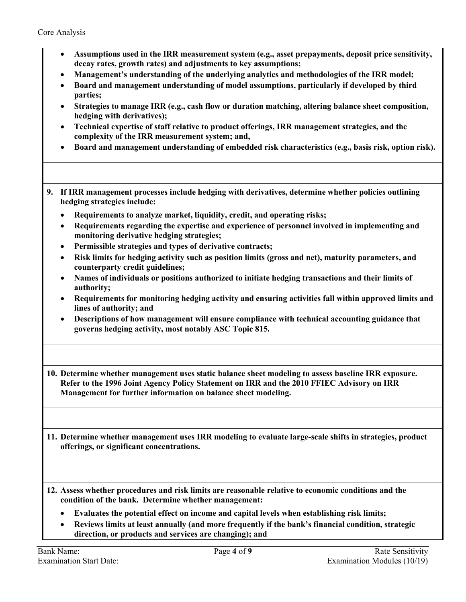- **Assumptions used in the IRR measurement system (e.g., asset prepayments, deposit price sensitivity, decay rates, growth rates) and adjustments to key assumptions;**
- **Management's understanding of the underlying analytics and methodologies of the IRR model;**
- **Board and management understanding of model assumptions, particularly if developed by third parties;**
- **Strategies to manage IRR (e.g., cash flow or duration matching, altering balance sheet composition, hedging with derivatives);**
- **Technical expertise of staff relative to product offerings, IRR management strategies, and the complexity of the IRR measurement system; and,**
- **Board and management understanding of embedded risk characteristics (e.g., basis risk, option risk).**
- **9. If IRR management processes include hedging with derivatives, determine whether policies outlining hedging strategies include:**
	- **Requirements to analyze market, liquidity, credit, and operating risks;**
	- **Requirements regarding the expertise and experience of personnel involved in implementing and monitoring derivative hedging strategies;**
	- **Permissible strategies and types of derivative contracts;**
	- **Risk limits for hedging activity such as position limits (gross and net), maturity parameters, and counterparty credit guidelines;**
	- **Names of individuals or positions authorized to initiate hedging transactions and their limits of authority;**
	- **Requirements for monitoring hedging activity and ensuring activities fall within approved limits and lines of authority; and**
	- **Descriptions of how management will ensure compliance with technical accounting guidance that governs hedging activity, most notably ASC Topic 815.**

**10. Determine whether management uses static balance sheet modeling to assess baseline IRR exposure. Refer to the 1996 Joint Agency Policy Statement on IRR and the 2010 FFIEC Advisory on IRR Management for further information on balance sheet modeling.** 

**11. Determine whether management uses IRR modeling to evaluate large-scale shifts in strategies, product offerings, or significant concentrations.** 

- **12. Assess whether procedures and risk limits are reasonable relative to economic conditions and the condition of the bank. Determine whether management:** 
	- **Evaluates the potential effect on income and capital levels when establishing risk limits;**
	- **Reviews limits at least annually (and more frequently if the bank's financial condition, strategic direction, or products and services are changing); and**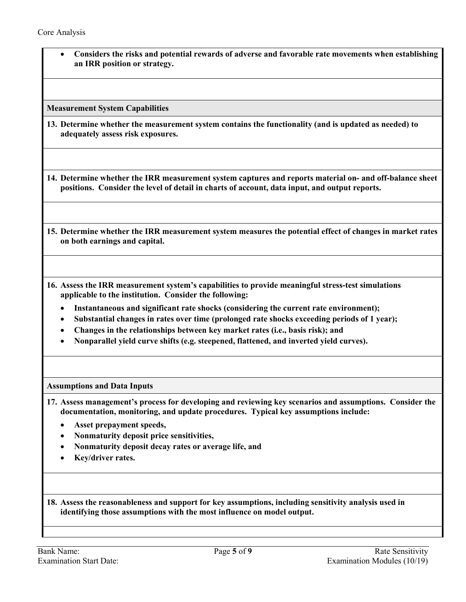• **Considers the risks and potential rewards of adverse and favorable rate movements when establishing an IRR position or strategy.** 

**Measurement System Capabilities**

<span id="page-4-0"></span>**13. Determine whether the measurement system contains the functionality (and is updated as needed) to adequately assess risk exposures.**

**14. Determine whether the IRR measurement system captures and reports material on- and off-balance sheet positions. Consider the level of detail in charts of account, data input, and output reports.** 

- **15. Determine whether the IRR measurement system measures the potential effect of changes in market rates on both earnings and capital.**
- **16. Assess the IRR measurement system's capabilities to provide meaningful stress-test simulations applicable to the institution. Consider the following:** 
	- **Instantaneous and significant rate shocks (considering the current rate environment);**
	- **Substantial changes in rates over time (prolonged rate shocks exceeding periods of 1 year);**
	- **Changes in the relationships between key market rates (i.e., basis risk); and**
	- **Nonparallel yield curve shifts (e.g. steepened, flattened, and inverted yield curves).**

**Assumptions and Data Inputs**

- <span id="page-4-1"></span>**17. Assess management's process for developing and reviewing key scenarios and assumptions. Consider the documentation, monitoring, and update procedures. Typical key assumptions include:**
	- **Asset prepayment speeds,**
	- **Nonmaturity deposit price sensitivities,**
	- **Nonmaturity deposit decay rates or average life, and**
	- **Key/driver rates.**

**18. Assess the reasonableness and support for key assumptions, including sensitivity analysis used in identifying those assumptions with the most influence on model output.**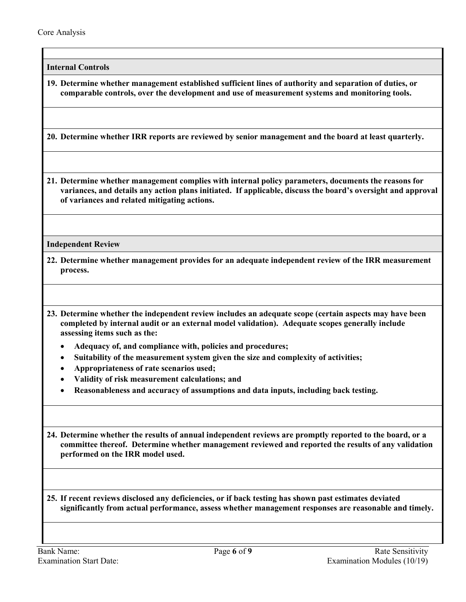**Internal Controls** 

<span id="page-5-0"></span>**19. Determine whether management established sufficient lines of authority and separation of duties, or comparable controls, over the development and use of measurement systems and monitoring tools.**

**20. Determine whether IRR reports are reviewed by senior management and the board at least quarterly.**

**21. Determine whether management complies with internal policy parameters, documents the reasons for variances, and details any action plans initiated. If applicable, discuss the board's oversight and approval of variances and related mitigating actions.** 

**Independent Review**

- <span id="page-5-1"></span>**22. Determine whether management provides for an adequate independent review of the IRR measurement process.**
- **23. Determine whether the independent review includes an adequate scope (certain aspects may have been completed by internal audit or an external model validation). Adequate scopes generally include assessing items such as the:** 
	- **Adequacy of, and compliance with, policies and procedures;**
	- **Suitability of the measurement system given the size and complexity of activities;**
	- **Appropriateness of rate scenarios used;**
	- **Validity of risk measurement calculations; and**
	- **Reasonableness and accuracy of assumptions and data inputs, including back testing.**

**24. Determine whether the results of annual independent reviews are promptly reported to the board, or a committee thereof. Determine whether management reviewed and reported the results of any validation performed on the IRR model used.** 

**25. If recent reviews disclosed any deficiencies, or if back testing has shown past estimates deviated significantly from actual performance, assess whether management responses are reasonable and timely.**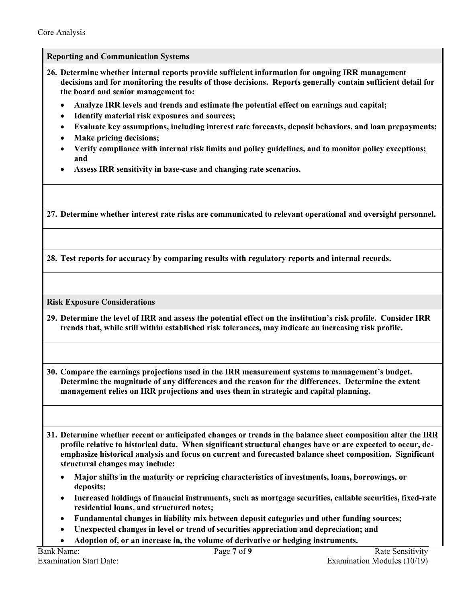**Reporting and Communication Systems**

- <span id="page-6-0"></span>**26. Determine whether internal reports provide sufficient information for ongoing IRR management decisions and for monitoring the results of those decisions. Reports generally contain sufficient detail for the board and senior management to:**
	- **Analyze IRR levels and trends and estimate the potential effect on earnings and capital;**
	- **Identify material risk exposures and sources;**
	- **Evaluate key assumptions, including interest rate forecasts, deposit behaviors, and loan prepayments;**
	- **Make pricing decisions;**
	- **Verify compliance with internal risk limits and policy guidelines, and to monitor policy exceptions; and**
	- **Assess IRR sensitivity in base-case and changing rate scenarios.**

**27. Determine whether interest rate risks are communicated to relevant operational and oversight personnel.** 

**28. Test reports for accuracy by comparing results with regulatory reports and internal records.**

**Risk Exposure Considerations**

<span id="page-6-1"></span>**29. Determine the level of IRR and assess the potential effect on the institution's risk profile. Consider IRR trends that, while still within established risk tolerances, may indicate an increasing risk profile.** 

**30. Compare the earnings projections used in the IRR measurement systems to management's budget. Determine the magnitude of any differences and the reason for the differences. Determine the extent management relies on IRR projections and uses them in strategic and capital planning.** 

**31. Determine whether recent or anticipated changes or trends in the balance sheet composition alter the IRR profile relative to historical data. When significant structural changes have or are expected to occur, deemphasize historical analysis and focus on current and forecasted balance sheet composition. Significant structural changes may include:**

- **Major shifts in the maturity or repricing characteristics of investments, loans, borrowings, or deposits;**
- **Increased holdings of financial instruments, such as mortgage securities, callable securities, fixed-rate residential loans, and structured notes;**
- **Fundamental changes in liability mix between deposit categories and other funding sources;**
- **Unexpected changes in level or trend of securities appreciation and depreciation; and**
- **Adoption of, or an increase in, the volume of derivative or hedging instruments.**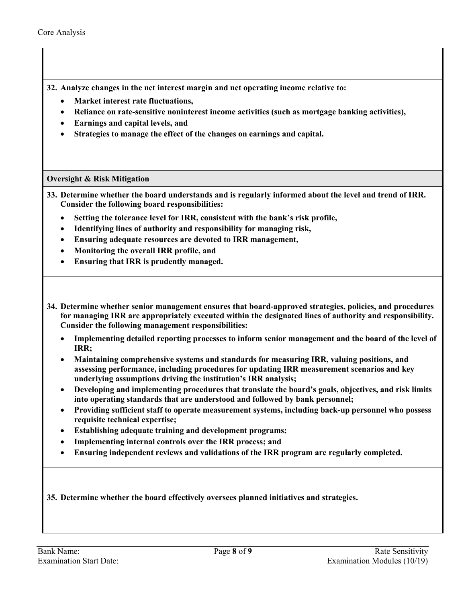**32. Analyze changes in the net interest margin and net operating income relative to:**

- **Market interest rate fluctuations,**
- **Reliance on rate-sensitive noninterest income activities (such as mortgage banking activities),**
- **Earnings and capital levels, and**
- **Strategies to manage the effect of the changes on earnings and capital.**

### **Oversight & Risk Mitigation**

- <span id="page-7-0"></span>**33. Determine whether the board understands and is regularly informed about the level and trend of IRR. Consider the following board responsibilities:**
	- **Setting the tolerance level for IRR, consistent with the bank's risk profile,**
	- **Identifying lines of authority and responsibility for managing risk,**
	- **Ensuring adequate resources are devoted to IRR management,**
	- **Monitoring the overall IRR profile, and**
	- **Ensuring that IRR is prudently managed.**
- **34. Determine whether senior management ensures that board-approved strategies, policies, and procedures for managing IRR are appropriately executed within the designated lines of authority and responsibility. Consider the following management responsibilities:**
	- **Implementing detailed reporting processes to inform senior management and the board of the level of IRR;**
	- **Maintaining comprehensive systems and standards for measuring IRR, valuing positions, and assessing performance, including procedures for updating IRR measurement scenarios and key underlying assumptions driving the institution's IRR analysis;**
	- **Developing and implementing procedures that translate the board's goals, objectives, and risk limits into operating standards that are understood and followed by bank personnel;**
	- **Providing sufficient staff to operate measurement systems, including back-up personnel who possess requisite technical expertise;**
	- **Establishing adequate training and development programs;**
	- **Implementing internal controls over the IRR process; and**
	- **Ensuring independent reviews and validations of the IRR program are regularly completed.**

**35. Determine whether the board effectively oversees planned initiatives and strategies.**